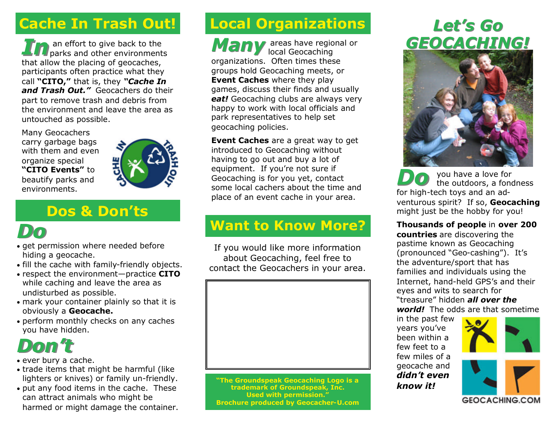## **Cache In Trash Out!**

**In The Allen Contract of the Southern environments** that allow the placing of geocaches, participants often practice what they call **"CITO,"** that is, they *"Cache In and Trash Out."* Geocachers do their part to remove trash and debris from the environment and leave the area as untouched as possible.

Many Geocachers carry garbage bags with them and even organize special **"CITO Events"** to beautify parks and environments.



#### **Dos & Don'ts**

## *Do*

- get permission where needed before hiding a geocache.
- fill the cache with family-friendly objects.
- respect the environment—practice **CITO** while caching and leave the area as undisturbed as possible.
- mark your container plainly so that it is obviously a **Geocache.**
- perform monthly checks on any caches you have hidden.

# *Don't*

- ever bury a cache.
- trade items that might be harmful (like lighters or knives) or family un-friendly.
- put any food items in the cache. These can attract animals who might be harmed or might damage the container.

## **Local Organizations**

Many areas have regional or local Geocaching organizations. Often times these groups hold Geocaching meets, or **Event Caches** where they play games, discuss their finds and usually *eat!* Geocaching clubs are always very happy to work with local officials and park representatives to help set geocaching policies.

**Event Caches** are a great way to get introduced to Geocaching without having to go out and buy a lot of equipment. If you're not sure if Geocaching is for you yet, contact some local cachers about the time and place of an event cache in your area.

### **Want to Know More?**

If you would like more information about Geocaching, feel free to contact the Geocachers in your area.



**"The Groundspeak Geocaching Logo is a trademark of Groundspeak, Inc. Used with permission." Brochure produced by Geocacher-U.com**

## *GEOCACHING! Let's Go*



*Do* you have a love for the outdoors, a fondness for high-tech toys and an adventurous spirit? If so, **Geocaching** might just be the hobby for you!

**Thousands of people** in **over 200 countries** are discovering the pastime known as Geocaching (pronounced "Geo-cashing"). It's the adventure/sport that has families and individuals using the Internet, hand-held GPS's and their eyes and wits to search for "treasure" hidden *all over the world!* The odds are that sometime

in the past few years you've been within a few feet to a few miles of a geocache and *didn't even know it!*



**GEOCACHING.COM**